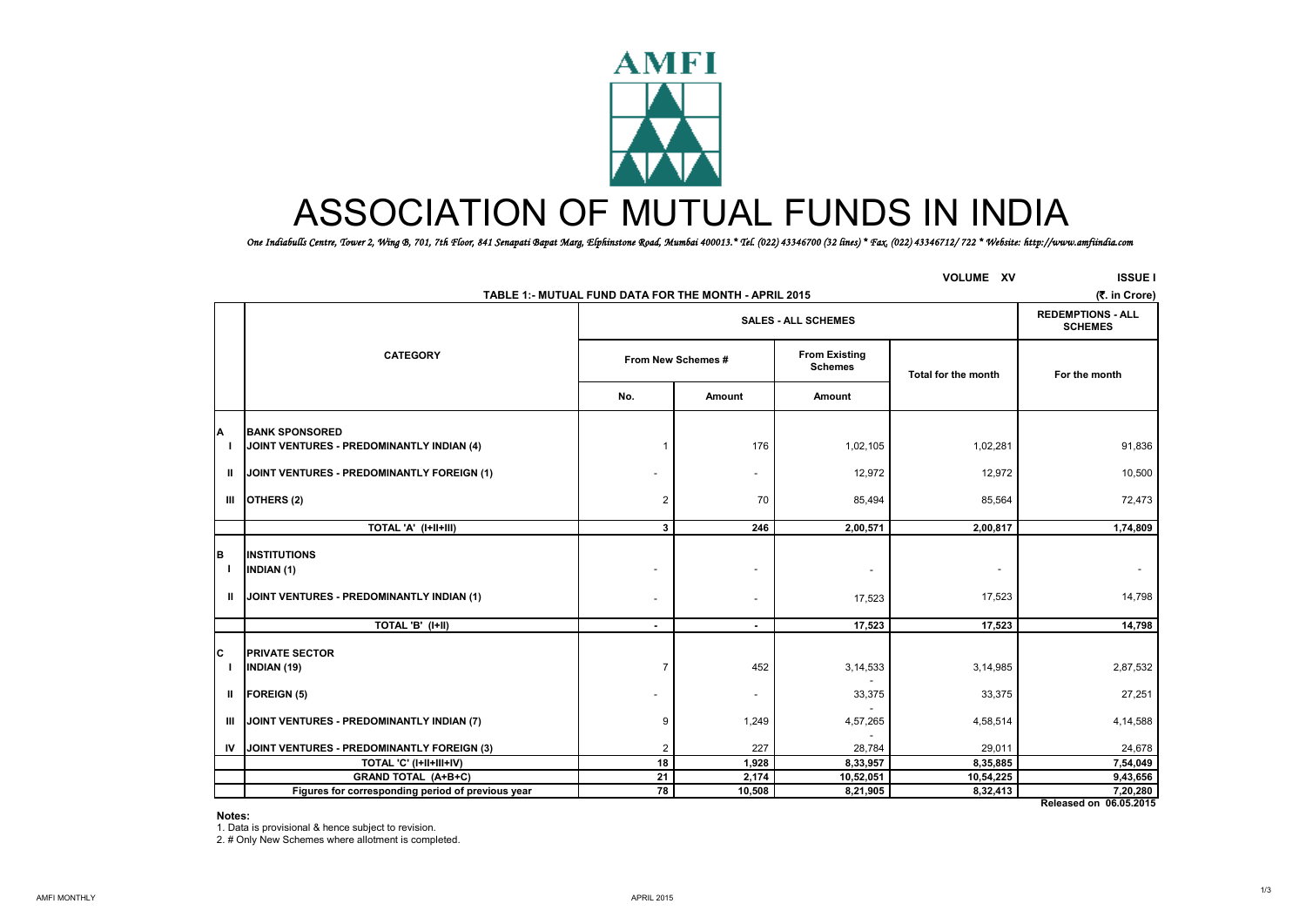

# ASSOCIATION OF MUTUAL FUNDS IN INDIA

*One Indiabulls Centre, Tower 2, Wing B, 701, 7th Floor, 841 Senapati Bapat Marg, Elphinstone Road, Mumbai 400013.\* Tel. (022) 43346700 (32 lines) \* Fax. (022) 43346712/ 722 \* Website: http://www.amfiindia.com*

|    |                                                                    | TABLE 1:- MUTUAL FUND DATA FOR THE MONTH - APRIL 2015        |                          |                     | <b>VOLUME XV</b>         | <b>ISSUE I</b><br>(₹. in Crore)    |  |  |  |
|----|--------------------------------------------------------------------|--------------------------------------------------------------|--------------------------|---------------------|--------------------------|------------------------------------|--|--|--|
|    |                                                                    | <b>SALES - ALL SCHEMES</b>                                   |                          |                     |                          |                                    |  |  |  |
|    | <b>CATEGORY</b>                                                    | <b>From Existing</b><br>From New Schemes #<br><b>Schemes</b> |                          | Total for the month | For the month            |                                    |  |  |  |
|    |                                                                    | No.                                                          | Amount                   | Amount              |                          |                                    |  |  |  |
|    | <b>BANK SPONSORED</b><br>JOINT VENTURES - PREDOMINANTLY INDIAN (4) |                                                              | 176                      | 1,02,105            | 1,02,281                 | 91,836                             |  |  |  |
| Ш  | JOINT VENTURES - PREDOMINANTLY FOREIGN (1)                         |                                                              | $\overline{\phantom{a}}$ | 12,972              | 12,972                   | 10,500                             |  |  |  |
| Ш  | OTHERS (2)                                                         | $\overline{2}$                                               | 70                       | 85,494              | 85,564                   | 72,473                             |  |  |  |
|    | TOTAL 'A' (I+II+III)                                               | $\mathbf{3}$                                                 | 246                      | 2,00,571            | 2,00,817                 | 1,74,809                           |  |  |  |
| B  | <b>INSTITUTIONS</b><br><b>INDIAN (1)</b>                           | ٠                                                            | $\sim$                   |                     | $\overline{\phantom{a}}$ |                                    |  |  |  |
| Ш  | JOINT VENTURES - PREDOMINANTLY INDIAN (1)                          | $\overline{a}$                                               | $\overline{\phantom{a}}$ | 17,523              | 17,523                   | 14,798                             |  |  |  |
|    | TOTAL 'B' (I+II)                                                   | $\blacksquare$                                               | ۰.                       | 17,523              | 17,523                   | 14,798                             |  |  |  |
| C  | <b>PRIVATE SECTOR</b><br><b>INDIAN (19)</b>                        | $\overline{7}$                                               | 452                      | 3,14,533            | 3,14,985                 | 2,87,532                           |  |  |  |
| Ш  | <b>FOREIGN (5)</b>                                                 |                                                              | $\blacksquare$           | 33,375              | 33,375                   | 27,251                             |  |  |  |
| ш  | JOINT VENTURES - PREDOMINANTLY INDIAN (7)                          | 9                                                            | 1,249                    | 4,57,265            | 4,58,514                 | 4,14,588                           |  |  |  |
| IV | JOINT VENTURES - PREDOMINANTLY FOREIGN (3)                         | $\overline{2}$                                               | 227                      | 28,784              | 29,011                   | 24,678                             |  |  |  |
|    | TOTAL 'C' (I+II+III+IV)                                            | 18                                                           | 1,928                    | 8,33,957            | 8,35,885                 | 7,54,049                           |  |  |  |
|    | <b>GRAND TOTAL (A+B+C)</b>                                         | 21                                                           | 2,174                    | 10,52,051           | 10,54,225                | 9,43,656                           |  |  |  |
|    | Figures for corresponding period of previous year                  | 78                                                           | 10,508                   | 8,21,905            | 8,32,413                 | 7,20,280<br>Released on 06.05.2015 |  |  |  |

#### **Notes:**

1. Data is provisional & hence subject to revision.

2. # Only New Schemes where allotment is completed.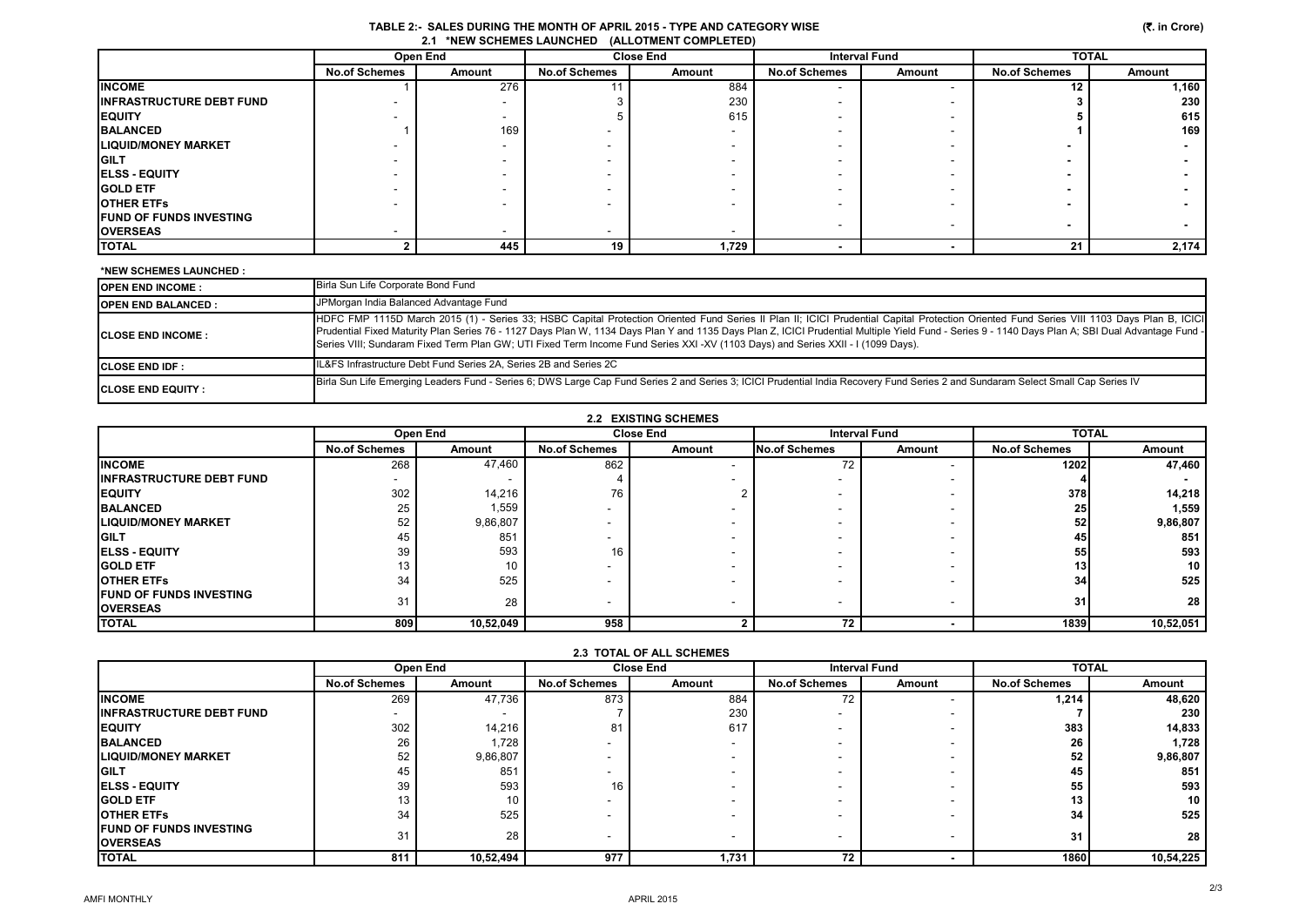|                                 |                      |               |                          | 1.1.1.1.1.0.01.01.00.001.000.000 |                      |        |                      |        |
|---------------------------------|----------------------|---------------|--------------------------|----------------------------------|----------------------|--------|----------------------|--------|
|                                 | Open End             |               | <b>Close End</b>         |                                  | <b>Interval Fund</b> |        | <b>TOTAL</b>         |        |
|                                 | <b>No.of Schemes</b> | <b>Amount</b> | <b>No.of Schemes</b>     | Amount                           | <b>No.of Schemes</b> | Amount | <b>No.of Schemes</b> | Amount |
| <b>INCOME</b>                   |                      | 276           |                          | 884                              |                      |        | 12                   | 1,160  |
| <b>INFRASTRUCTURE DEBT FUND</b> |                      |               |                          | 230                              |                      |        |                      | 230    |
| <b>EQUITY</b>                   |                      |               |                          | 615                              |                      |        |                      | 615    |
| <b>BALANCED</b>                 |                      | 169           |                          |                                  |                      |        |                      | 169    |
| <b>LIQUID/MONEY MARKET</b>      |                      |               |                          |                                  |                      |        |                      |        |
| <b>GILT</b>                     |                      |               |                          |                                  |                      |        |                      |        |
| <b>ELSS - EQUITY</b>            |                      |               |                          |                                  |                      |        |                      |        |
| <b>GOLD ETF</b>                 |                      |               |                          |                                  |                      |        |                      |        |
| <b>OTHER ETFS</b>               |                      |               |                          |                                  |                      |        |                      |        |
| <b>FUND OF FUNDS INVESTING</b>  |                      |               |                          |                                  |                      |        | $\sim$               |        |
| <b>OVERSEAS</b>                 |                      |               | $\overline{\phantom{a}}$ |                                  |                      |        |                      |        |
| <b>TOTAL</b>                    |                      | 445           | 19                       | 1,729                            |                      |        | 21                   | 2,174  |

#### **\*NEW SCHEMES LAUNCHED :**

| <b>OPEN END INCOME :</b>   | Birla Sun Life Corporate Bond Fund                                                                                                                                                                                                                                                                                                                                                                                                                                                                                                 |
|----------------------------|------------------------------------------------------------------------------------------------------------------------------------------------------------------------------------------------------------------------------------------------------------------------------------------------------------------------------------------------------------------------------------------------------------------------------------------------------------------------------------------------------------------------------------|
| <b>OPEN END BALANCED:</b>  | JPMorgan India Balanced Advantage Fund                                                                                                                                                                                                                                                                                                                                                                                                                                                                                             |
| <b>ICLOSE END INCOME :</b> | HDFC FMP 1115D March 2015 (1) - Series 33; HSBC Capital Protection Oriented Fund Series II Plan II; ICICI Prudential Capital Protection Oriented Fund Series VIII 1103 Days Plan B, ICICI<br>Prudential Fixed Maturity Plan Series 76 - 1127 Days Plan W, 1134 Days Plan Y and 1135 Days Plan Z, ICICI Prudential Multiple Yield Fund - Series 9 - 1140 Days Plan A; SBI Dual Advantage Fund -<br>Series VIII; Sundaram Fixed Term Plan GW; UTI Fixed Term Income Fund Series XXI -XV (1103 Days) and Series XXII - I (1099 Days). |
| <b>ICLOSE END IDF :</b>    | IL&FS Infrastructure Debt Fund Series 2A, Series 2B and Series 2C                                                                                                                                                                                                                                                                                                                                                                                                                                                                  |
| <b>ICLOSE END EQUITY:</b>  | Birla Sun Life Emerging Leaders Fund - Series 6; DWS Large Cap Fund Series 2 and Series 3; ICICI Prudential India Recovery Fund Series 2 and Sundaram Select Small Cap Series IV                                                                                                                                                                                                                                                                                                                                                   |

| <b>2.2 EXISTING SCHEMES</b>     |                      |           |                          |        |                      |        |                      |           |
|---------------------------------|----------------------|-----------|--------------------------|--------|----------------------|--------|----------------------|-----------|
|                                 |                      | Open End  | <b>Close End</b>         |        | <b>Interval Fund</b> |        | <b>TOTAL</b>         |           |
|                                 | <b>No.of Schemes</b> | Amount    | <b>No.of Schemes</b>     | Amount | No.of Schemes        | Amount | <b>No.of Schemes</b> | Amount    |
| <b>INCOME</b>                   | 268                  | 47,460    | 862                      |        | 72                   |        | 1202                 | 47,460    |
| <b>INFRASTRUCTURE DEBT FUND</b> |                      |           |                          |        |                      |        |                      |           |
| <b>EQUITY</b>                   | 302                  | 14,216    | 76                       |        |                      |        | 378                  | 14,218    |
| <b>BALANCED</b>                 | 25                   | 1,559     |                          |        |                      |        | 25                   | 1,559     |
| <b>LIQUID/MONEY MARKET</b>      | 52                   | 9,86,807  |                          |        |                      |        | 52                   | 9,86,807  |
| <b>GILT</b>                     | 45                   | 851       |                          |        |                      |        | 45                   | 851       |
| <b>IELSS - EQUITY</b>           | 39                   | 593       | 16                       |        |                      |        | 55                   | 593       |
| <b>GOLD ETF</b>                 | 13                   | 10        |                          |        |                      |        | 13                   | 10        |
| <b>OTHER ETFS</b>               | 34                   | 525       |                          |        |                      |        | 34                   | 525       |
| <b>IFUND OF FUNDS INVESTING</b> | 31                   | 28        | $\overline{\phantom{0}}$ |        |                      | . .    | 31                   | 28        |
| <b>OVERSEAS</b>                 |                      |           |                          |        |                      |        |                      |           |
| <b>TOTAL</b>                    | 809                  | 10,52,049 | 958                      |        | 72                   |        | 1839                 | 10,52,051 |

| AN IVIAL VI ALL VUILIMLU                           |                      |           |                      |        |                      |        |                      |              |  |
|----------------------------------------------------|----------------------|-----------|----------------------|--------|----------------------|--------|----------------------|--------------|--|
|                                                    | Open End             |           | <b>Close End</b>     |        | <b>Interval Fund</b> |        |                      | <b>TOTAL</b> |  |
|                                                    | <b>No.of Schemes</b> | Amount    | <b>No.of Schemes</b> | Amount | <b>No.of Schemes</b> | Amount | <b>No.of Schemes</b> | Amount       |  |
| <b>INCOME</b>                                      | 269                  | 47,736    | 873                  | 884    | 72                   |        | 1,214                | 48,620       |  |
| <b>INFRASTRUCTURE DEBT FUND</b>                    |                      |           |                      | 230    | ۰.                   |        |                      | 230          |  |
| <b>IEQUITY</b>                                     | 302                  | 14,216    | 81                   | 617    | ۰                    |        | 383                  | 14,833       |  |
| <b>BALANCED</b>                                    | 26                   | 1,728     |                      |        | ۰                    |        | 26                   | 1,728        |  |
| <b>LIQUID/MONEY MARKET</b>                         | 52                   | 9,86,807  |                      |        | -                    |        | 52                   | 9,86,807     |  |
| <b>IGILT</b>                                       | 45                   | 851       |                      |        | ۰                    |        | 45                   | 851          |  |
| <b>IELSS - EQUITY</b>                              | 39                   | 593       | 16                   |        | -                    |        | 55                   | 593          |  |
| <b>GOLD ETF</b>                                    | 13                   | 10        |                      |        | ۰                    |        | 13                   | 10           |  |
| <b>OTHER ETFS</b>                                  | 34                   | 525       |                      |        | ۰                    |        | 34                   | 525          |  |
| <b>IFUND OF FUNDS INVESTING</b><br><b>OVERSEAS</b> | 31                   | 28        |                      |        | ۰                    |        | 31                   | 28           |  |
| <b>TOTAL</b>                                       | 811                  | 10,52,494 | 977                  | 1,731  | 72                   |        | 1860                 | 10,54,225    |  |

## **2.3 TOTAL OF ALL SCHEMES**